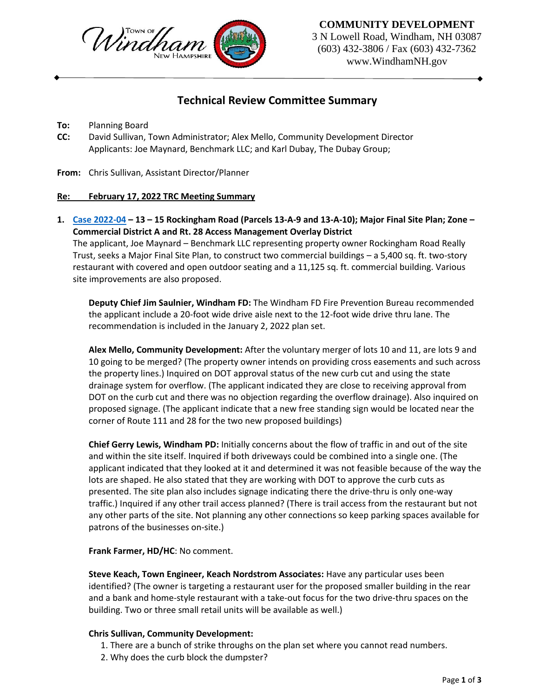

## **COMMUNITY DEVELOPMENT**

3 N Lowell Road, Windham, NH 03087 (603) 432-3806 / Fax (603) 432-7362 www.WindhamNH.gov

# **Technical Review Committee Summary**

- **To:** Planning Board
- **CC:** David Sullivan, Town Administrator; Alex Mello, Community Development Director Applicants: Joe Maynard, Benchmark LLC; and Karl Dubay, The Dubay Group;
- **From:** Chris Sullivan, Assistant Director/Planner

#### **Re: February 17, 2022 TRC Meeting Summary**

**1. [Case 2022-04](https://www.windhamnh.gov/DocumentCenter/Index/905) – 13 – 15 Rockingham Road (Parcels 13-A-9 and 13-A-10); Major Final Site Plan; Zone – Commercial District A and Rt. 28 Access Management Overlay District**

The applicant, Joe Maynard – Benchmark LLC representing property owner Rockingham Road Really Trust, seeks a Major Final Site Plan, to construct two commercial buildings – a 5,400 sq. ft. two-story restaurant with covered and open outdoor seating and a 11,125 sq. ft. commercial building. Various site improvements are also proposed.

**Deputy Chief Jim Saulnier, Windham FD:** The Windham FD Fire Prevention Bureau recommended the applicant include a 20-foot wide drive aisle next to the 12-foot wide drive thru lane. The recommendation is included in the January 2, 2022 plan set.

**Alex Mello, Community Development:** After the voluntary merger of lots 10 and 11, are lots 9 and 10 going to be merged? (The property owner intends on providing cross easements and such across the property lines.) Inquired on DOT approval status of the new curb cut and using the state drainage system for overflow. (The applicant indicated they are close to receiving approval from DOT on the curb cut and there was no objection regarding the overflow drainage). Also inquired on proposed signage. (The applicant indicate that a new free standing sign would be located near the corner of Route 111 and 28 for the two new proposed buildings)

**Chief Gerry Lewis, Windham PD:** Initially concerns about the flow of traffic in and out of the site and within the site itself. Inquired if both driveways could be combined into a single one. (The applicant indicated that they looked at it and determined it was not feasible because of the way the lots are shaped. He also stated that they are working with DOT to approve the curb cuts as presented. The site plan also includes signage indicating there the drive-thru is only one-way traffic.) Inquired if any other trail access planned? (There is trail access from the restaurant but not any other parts of the site. Not planning any other connections so keep parking spaces available for patrons of the businesses on-site.)

**Frank Farmer, HD/HC**: No comment.

**Steve Keach, Town Engineer, Keach Nordstrom Associates:** Have any particular uses been identified? (The owner is targeting a restaurant user for the proposed smaller building in the rear and a bank and home-style restaurant with a take-out focus for the two drive-thru spaces on the building. Two or three small retail units will be available as well.)

### **Chris Sullivan, Community Development:**

- 1. There are a bunch of strike throughs on the plan set where you cannot read numbers.
- 2. Why does the curb block the dumpster?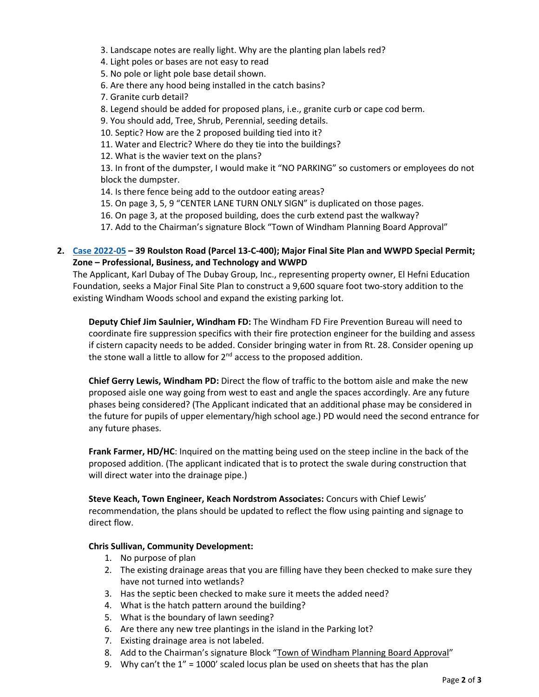3. Landscape notes are really light. Why are the planting plan labels red?

4. Light poles or bases are not easy to read

5. No pole or light pole base detail shown.

6. Are there any hood being installed in the catch basins?

7. Granite curb detail?

8. Legend should be added for proposed plans, i.e., granite curb or cape cod berm.

9. You should add, Tree, Shrub, Perennial, seeding details.

10. Septic? How are the 2 proposed building tied into it?

11. Water and Electric? Where do they tie into the buildings?

12. What is the wavier text on the plans?

13. In front of the dumpster, I would make it "NO PARKING" so customers or employees do not block the dumpster.

14. Is there fence being add to the outdoor eating areas?

15. On page 3, 5, 9 "CENTER LANE TURN ONLY SIGN" is duplicated on those pages.

16. On page 3, at the proposed building, does the curb extend past the walkway?

17. Add to the Chairman's signature Block "Town of Windham Planning Board Approval"

### **2. [Case 2022-05](https://www.windhamnh.gov/DocumentCenter/Index/908) – 39 Roulston Road (Parcel 13-C-400); Major Final Site Plan and WWPD Special Permit; Zone – Professional, Business, and Technology and WWPD**

The Applicant, Karl Dubay of The Dubay Group, Inc., representing property owner, El Hefni Education Foundation, seeks a Major Final Site Plan to construct a 9,600 square foot two-story addition to the existing Windham Woods school and expand the existing parking lot.

**Deputy Chief Jim Saulnier, Windham FD:** The Windham FD Fire Prevention Bureau will need to coordinate fire suppression specifics with their fire protection engineer for the building and assess if cistern capacity needs to be added. Consider bringing water in from Rt. 28. Consider opening up the stone wall a little to allow for 2<sup>nd</sup> access to the proposed addition.

**Chief Gerry Lewis, Windham PD:** Direct the flow of traffic to the bottom aisle and make the new proposed aisle one way going from west to east and angle the spaces accordingly. Are any future phases being considered? (The Applicant indicated that an additional phase may be considered in the future for pupils of upper elementary/high school age.) PD would need the second entrance for any future phases.

**Frank Farmer, HD/HC**: Inquired on the matting being used on the steep incline in the back of the proposed addition. (The applicant indicated that is to protect the swale during construction that will direct water into the drainage pipe.)

**Steve Keach, Town Engineer, Keach Nordstrom Associates:** Concurs with Chief Lewis' recommendation, the plans should be updated to reflect the flow using painting and signage to direct flow.

#### **Chris Sullivan, Community Development:**

- 1. No purpose of plan
- 2. The existing drainage areas that you are filling have they been checked to make sure they have not turned into wetlands?
- 3. Has the septic been checked to make sure it meets the added need?
- 4. What is the hatch pattern around the building?
- 5. What is the boundary of lawn seeding?
- 6. Are there any new tree plantings in the island in the Parking lot?
- 7. Existing drainage area is not labeled.
- 8. Add to the Chairman's signature Block "Town of Windham Planning Board Approval"
- 9. Why can't the  $1'' = 1000'$  scaled locus plan be used on sheets that has the plan